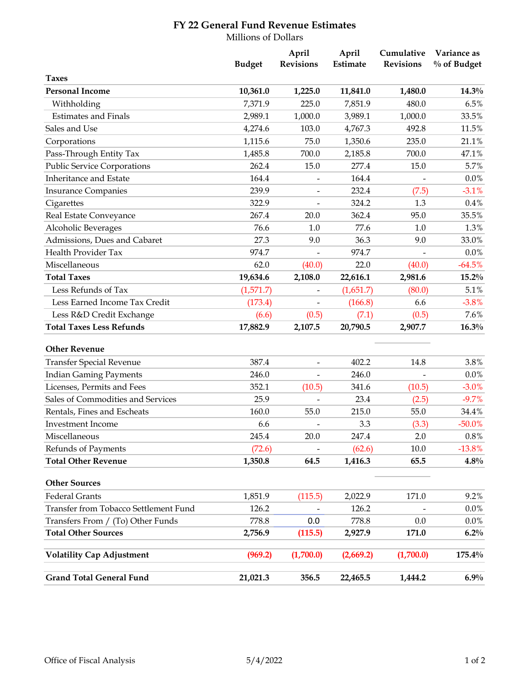## **FY 22 General Fund Revenue Estimates**

Millions of Dollars

|                                       | <b>Budget</b> | April<br><b>Revisions</b>    | April<br>Estimate | Cumulative<br><b>Revisions</b> | Variance as<br>$%$ of Budget |
|---------------------------------------|---------------|------------------------------|-------------------|--------------------------------|------------------------------|
| <b>Taxes</b>                          |               |                              |                   |                                |                              |
| <b>Personal Income</b>                | 10,361.0      | 1,225.0                      | 11,841.0          | 1,480.0                        | $14.3\%$                     |
| Withholding                           | 7,371.9       | 225.0                        | 7,851.9           | 480.0                          | 6.5%                         |
| <b>Estimates and Finals</b>           | 2,989.1       | 1,000.0                      | 3,989.1           | 1,000.0                        | 33.5%                        |
| Sales and Use                         | 4,274.6       | 103.0                        | 4,767.3           | 492.8                          | 11.5%                        |
| Corporations                          | 1,115.6       | 75.0                         | 1,350.6           | 235.0                          | 21.1%                        |
| Pass-Through Entity Tax               | 1,485.8       | 700.0                        | 2,185.8           | 700.0                          | 47.1%                        |
| <b>Public Service Corporations</b>    | 262.4         | 15.0                         | 277.4             | 15.0                           | 5.7%                         |
| Inheritance and Estate                | 164.4         | $\overline{\phantom{a}}$     | 164.4             |                                | 0.0%                         |
| <b>Insurance Companies</b>            | 239.9         | $\qquad \qquad \blacksquare$ | 232.4             | (7.5)                          | $-3.1%$                      |
| Cigarettes                            | 322.9         |                              | 324.2             | 1.3                            | 0.4%                         |
| Real Estate Conveyance                | 267.4         | 20.0                         | 362.4             | 95.0                           | 35.5%                        |
| Alcoholic Beverages                   | 76.6          | 1.0                          | 77.6              | 1.0                            | 1.3%                         |
| Admissions, Dues and Cabaret          | 27.3          | 9.0                          | 36.3              | 9.0                            | 33.0%                        |
| Health Provider Tax                   | 974.7         |                              | 974.7             |                                | 0.0%                         |
| Miscellaneous                         | 62.0          | (40.0)                       | 22.0              | (40.0)                         | $-64.5%$                     |
| <b>Total Taxes</b>                    | 19,634.6      | 2,108.0                      | 22,616.1          | 2,981.6                        | $15.2\%$                     |
| Less Refunds of Tax                   | (1,571.7)     | $\qquad \qquad \blacksquare$ | (1,651.7)         | (80.0)                         | 5.1%                         |
| Less Earned Income Tax Credit         | (173.4)       |                              | (166.8)           | 6.6                            | $-3.8%$                      |
| Less R&D Credit Exchange              | (6.6)         | (0.5)                        | (7.1)             | (0.5)                          | 7.6%                         |
| <b>Total Taxes Less Refunds</b>       | 17,882.9      | 2,107.5                      | 20,790.5          | 2,907.7                        | 16.3%                        |
| <b>Other Revenue</b>                  |               |                              |                   |                                |                              |
| <b>Transfer Special Revenue</b>       | 387.4         | $\qquad \qquad \blacksquare$ | 402.2             | 14.8                           | 3.8%                         |
| <b>Indian Gaming Payments</b>         | 246.0         |                              | 246.0             |                                | 0.0%                         |
| Licenses, Permits and Fees            | 352.1         | (10.5)                       | 341.6             | (10.5)                         | $-3.0%$                      |
| Sales of Commodities and Services     | 25.9          | $\qquad \qquad \blacksquare$ | 23.4              | (2.5)                          | $-9.7%$                      |
| Rentals, Fines and Escheats           | 160.0         | 55.0                         | 215.0             | 55.0                           | 34.4%                        |
| <b>Investment Income</b>              | 6.6           |                              | 3.3               | (3.3)                          | $-50.0%$                     |
| Miscellaneous                         | 245.4         | 20.0                         | 247.4             | 2.0                            | $0.8\%$                      |
| Refunds of Payments                   | (72.6)        |                              | (62.6)            | 10.0                           | $-13.8%$                     |
| <b>Total Other Revenue</b>            | 1,350.8       | 64.5                         | 1,416.3           | 65.5                           | $4.8\%$                      |
| <b>Other Sources</b>                  |               |                              |                   |                                |                              |
| <b>Federal Grants</b>                 | 1,851.9       | (115.5)                      | 2,022.9           | 171.0                          | 9.2%                         |
| Transfer from Tobacco Settlement Fund | 126.2         |                              | 126.2             |                                | $0.0\%$                      |
| Transfers From / (To) Other Funds     | 778.8         | 0.0                          | 778.8             | 0.0                            | $0.0\%$                      |
| <b>Total Other Sources</b>            | 2,756.9       | (115.5)                      | 2,927.9           | 171.0                          | $6.2\%$                      |
| <b>Volatility Cap Adjustment</b>      | (969.2)       | (1,700.0)                    | (2,669.2)         | (1,700.0)                      | 175.4%                       |
| <b>Grand Total General Fund</b>       | 21,021.3      | 356.5                        | 22,465.5          | 1,444.2                        | 6.9%                         |